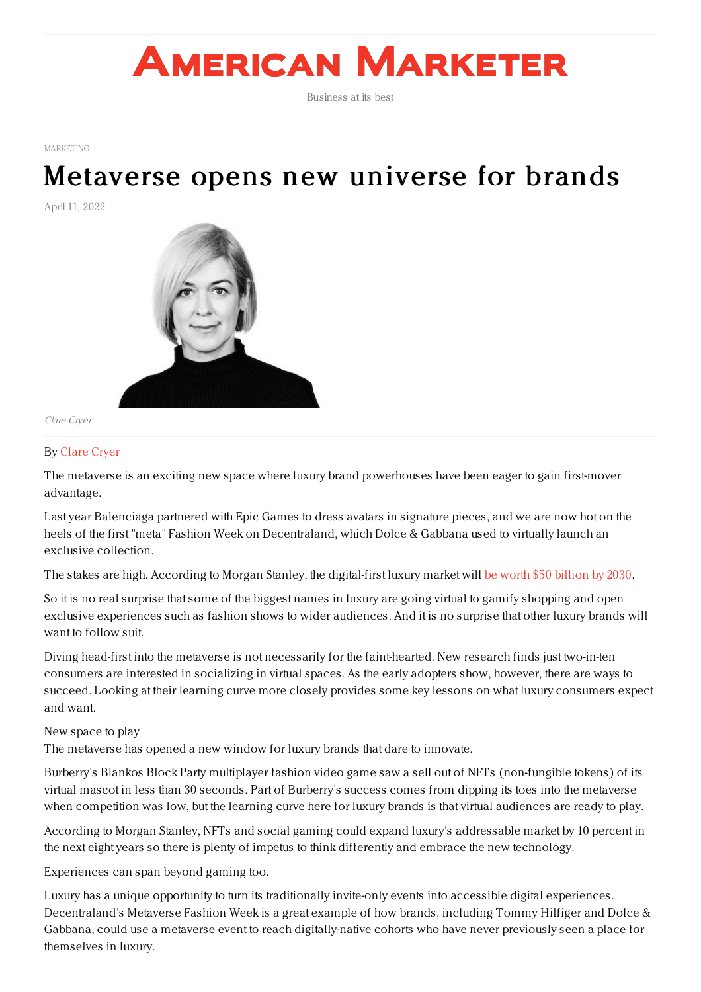# **AMERICAN MARKETER**

Business at its best

[MARKETING](https://www.americanmarketer.com/category/sectors/marketing-industry-sectors/)

## [Metaverse](https://www.americanmarketer.com/2022/04/11/metaverse-opens-new-universe-for-brands/) opens new universe for brands

April 11, 2022



Clare Cryer

### By [Clare](https://www.outform.com) Cryer

The metaverse is an exciting new space where luxury brand powerhouses have been eager to gain first-mover advantage.

Last year Balenciaga partnered with Epic Games to dress avatars in signature pieces, and we are now hot on the heels of the first "meta" Fashion Week on Decentraland, which Dolce & Gabbana used to virtually launch an exclusive collection.

The stakes are high. According to Morgan Stanley, the digital-first luxury market will be worth \$50 [billion](https://protect-us.mimecast.com/s/hrxoC4xJo7SKgBNhxPaTB?domain=finance.yahoo.com) by 2030.

So it is no real surprise that some of the biggest names in luxury are going virtual to gamify shopping and open exclusive experiences such as fashion shows to wider audiences. And it is no surprise that other luxury brands will want to follow suit.

Diving head-first into the metaverse is not necessarily for the faint-hearted. New research finds just two-in-ten consumers are interested in socializing in virtual spaces. As the early adopters show, however, there are ways to succeed. Looking at their learning curve more closely provides some key lessons on what luxury consumers expect and want.

#### New space to play

The metaverse has opened a new window for luxury brands that dare to innovate.

Burberry's Blankos Block Party multiplayer fashion video game saw a sell out of NFTs (non-fungible tokens) of its virtual mascot in less than 30 seconds. Part of Burberry's success comes from dipping its toes into the metaverse when competition was low, but the learning curve here for luxury brands is that virtual audiences are ready to play.

According to Morgan Stanley, NFTs and social gaming could expand luxury's addressable market by 10 percent in the next eight years so there is plenty of impetus to think differently and embrace the new technology.

Experiences can span beyond gaming too.

Luxury has a unique opportunity to turn its traditionally invite-only events into accessible digital experiences. Decentraland's Metaverse Fashion Week is a great example of how brands, including Tommy Hilfiger and Dolce & Gabbana, could use a metaverse event to reach digitally-native cohorts who have never previously seen a place for themselves in luxury.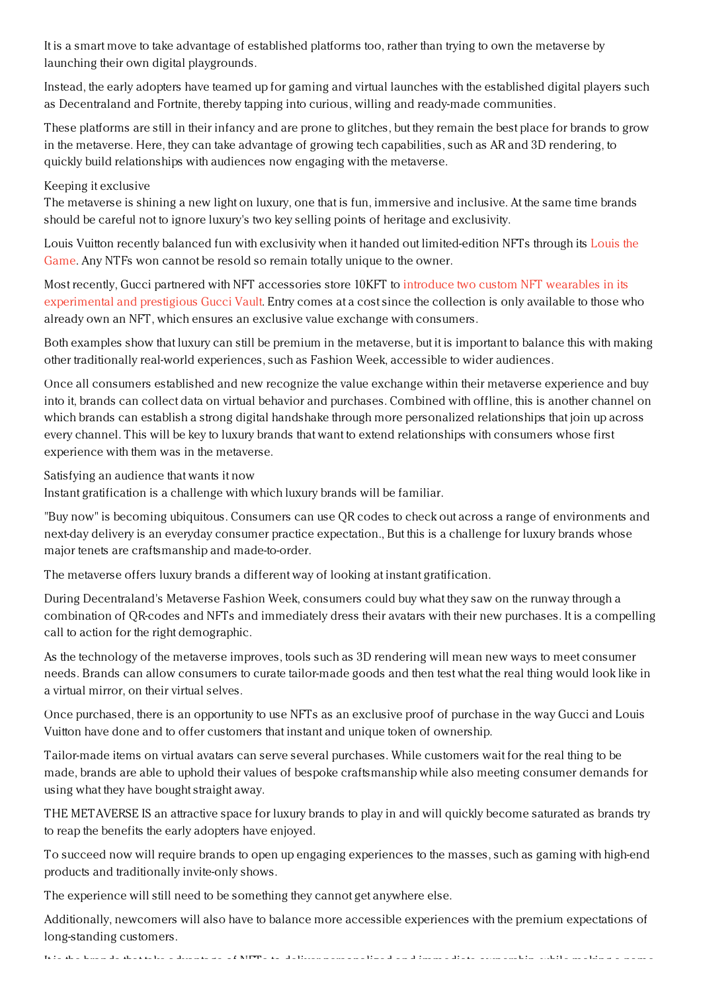It is a smart move to take advantage of established platforms too, rather than trying to own the metaverse by launching their own digital playgrounds.

Instead, the early adopters have teamed up for gaming and virtual launches with the established digital players such as Decentraland and Fortnite, thereby tapping into curious, willing and ready-made communities.

These platforms are still in their infancy and are prone to glitches, but they remain the best place for brands to grow in the metaverse. Here, they can take advantage of growing tech capabilities, such as AR and 3D rendering, to quickly build relationships with audiences now engaging with the metaverse.

### Keeping it exclusive

The metaverse is shining a new light on luxury, one that is fun, immersive and inclusive. At the same time brands should be careful not to ignore luxury's two key selling points of heritage and exclusivity.

Louis Vuitton recently balanced fun with exclusivity when it handed out [limited-edition](https://protect-us.mimecast.com/s/n4_CC5ygp5ULEZmCydq7a?domain=highsnobiety.com/) NFTs through its Louis the Game. Any NTFs won cannot be resold so remain totally unique to the owner.

Most recently, Gucci partnered with NFT accessories store 10KFT to introduce two custom NFT wearables in its [experimental](https://protect-us.mimecast.com/s/2keJC68jq5UYzr2T5m21f?domain=hauteliving.com/) and prestigious Gucci Vault. Entry comes at a cost since the collection is only available to those who already own an NFT, which ensures an exclusive value exchange with consumers.

Both examples show that luxury can still be premium in the metaverse, but it is important to balance this with making other traditionally real-world experiences, such as Fashion Week, accessible to wider audiences.

Once all consumers established and new recognize the value exchange within their metaverse experience and buy into it, brands can collect data on virtual behavior and purchases. Combined with offline, this is another channel on which brands can establish a strong digital handshake through more personalized relationships that join up across every channel. This will be key to luxury brands that want to extend relationships with consumers whose first experience with them was in the metaverse.

Satisfying an audience that wants it now

Instant gratification is a challenge with which luxury brands will be familiar.

"Buy now" is becoming ubiquitous. Consumers can use QR codes to check out across a range of environments and next-day delivery is an everyday consumer practice expectation., But this is a challenge for luxury brands whose major tenets are craftsmanship and made-to-order.

The metaverse offers luxury brands a different way of looking at instant gratification.

During Decentraland's Metaverse Fashion Week, consumers could buy what they saw on the runway through a combination of QR-codes and NFTs and immediately dress their avatars with their new purchases. It is a compelling call to action for the right demographic.

As the technology of the metaverse improves, tools such as 3D rendering will mean new ways to meet consumer needs. Brands can allow consumers to curate tailor-made goods and then test what the real thing would look like in a virtual mirror, on their virtual selves.

Once purchased, there is an opportunity to use NFTs as an exclusive proof of purchase in the way Gucci and Louis Vuitton have done and to offer customers that instant and unique token of ownership.

Tailor-made items on virtual avatars can serve several purchases. While customers wait for the real thing to be made, brands are able to uphold their values of bespoke craftsmanship while also meeting consumer demands for using what they have bought straight away.

THE METAVERSE IS an attractive space for luxury brands to play in and will quickly become saturated as brands try to reap the benefits the early adopters have enjoyed.

To succeed now will require brands to open up engaging experiences to the masses, such as gaming with high-end products and traditionally invite-only shows.

The experience will still need to be something they cannot get anywhere else.

Additionally, newcomers will also have to balance more accessible experiences with the premium expectations of long-standing customers.

It is the brands that take advantage of NFTs to deliver personalized and immediate ownership, while making a name